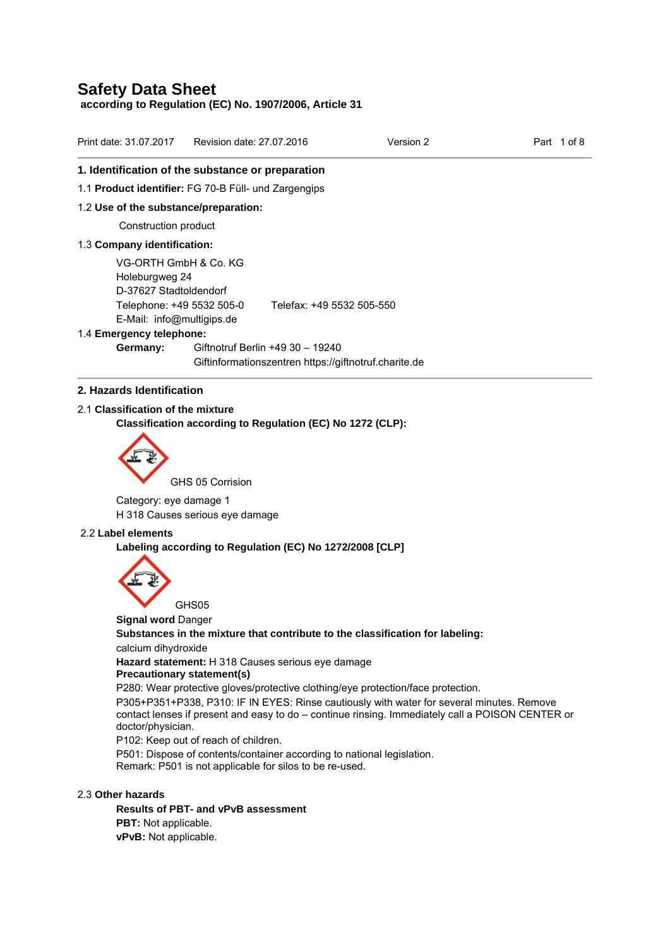**according to Regulation (EC) No. 1907/2006, Article 31** 

| Print date: 31.07.2017                                                                                                      | Revision date: 27.07.2016 |                           | Version 2 | Part | 1 of 8 |
|-----------------------------------------------------------------------------------------------------------------------------|---------------------------|---------------------------|-----------|------|--------|
| 1. Identification of the substance or preparation                                                                           |                           |                           |           |      |        |
| 1.1 Product identifier: FG 70-B Füll- und Zargengips                                                                        |                           |                           |           |      |        |
| 1.2 Use of the substance/preparation:                                                                                       |                           |                           |           |      |        |
| Construction product                                                                                                        |                           |                           |           |      |        |
| 1.3 Company identification:                                                                                                 |                           |                           |           |      |        |
| VG-ORTH GmbH & Co. KG<br>Holeburgweg 24<br>D-37627 Stadtoldendorf<br>Telephone: +49 5532 505-0<br>E-Mail: info@multigips.de |                           | Telefax: +49 5532 505-550 |           |      |        |

#### 1.4 **Emergency telephone:**

**Germany:** Giftnotruf Berlin +49 30 – 19240 Giftinformationszentren https://giftnotruf.charite.de

## **2. Hazards Identification**

2.1 **Classification of the mixture** 

**Classification according to Regulation (EC) No 1272 (CLP):** 



GHS 05 Corrision

Category: eye damage 1 H 318 Causes serious eye damage

#### 2.2 **Label elements**

**Labeling according to Regulation (EC) No 1272/2008 [CLP]** 



**Signal word** Danger

**Substances in the mixture that contribute to the classification for labeling:** 

calcium dihydroxide

**Hazard statement:** H 318 Causes serious eye damage

#### **Precautionary statement(s)**

P280: Wear protective gloves/protective clothing/eye protection/face protection.

P305+P351+P338, P310: IF IN EYES: Rinse cautiously with water for several minutes. Remove contact lenses if present and easy to do – continue rinsing. Immediately call a POISON CENTER or doctor/physician.

P102: Keep out of reach of children.

P501: Dispose of contents/container according to national legislation. Remark: P501 is not applicable for silos to be re-used.

## 2.3 **Other hazards**

**Results of PBT- and vPvB assessment PBT:** Not applicable. **vPvB:** Not applicable.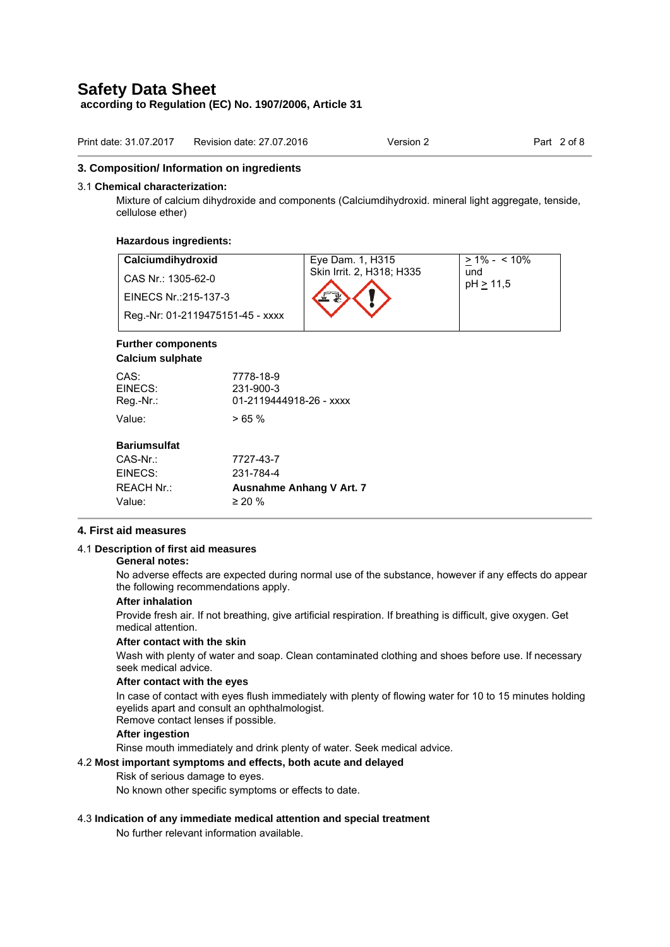**according to Regulation (EC) No. 1907/2006, Article 31** 

| Print date: 31.07.2017 | Revision date: 27.07.2016 | Version 2 | Part 2 of 8 |
|------------------------|---------------------------|-----------|-------------|
|                        |                           |           |             |

#### **3. Composition/ Information on ingredients**

#### 3.1 **Chemical characterization:**

Mixture of calcium dihydroxide and components (Calciumdihydroxid. mineral light aggregate, tenside, cellulose ether)

#### **Hazardous ingredients:**

| Calciumdihydroxid                | Eye Dam. 1, H315          | $> 1\% - 10\%$   |
|----------------------------------|---------------------------|------------------|
| CAS Nr.: 1305-62-0               | Skin Irrit. 2, H318; H335 | und<br>pH > 11.5 |
| EINECS Nr.: 215-137-3            |                           |                  |
| Reg.-Nr: 01-2119475151-45 - xxxx |                           |                  |

## **Further components**

## **Calcium sulphate**

| CAS:<br>EINECS:<br>$Reg.-Nr.$ : | 7778-18-9<br>231-900-3<br>01-2119444918-26 - xxxx |
|---------------------------------|---------------------------------------------------|
| Value:                          | >65%                                              |
| <b>Bariumsulfat</b>             |                                                   |
| $CAS-Nr.$                       | 7727-43-7                                         |
| EINECS:                         | 231-784-4                                         |
| <b>REACH Nr.:</b>               | Ausnahme Anhang V Art. 7                          |
| Value:                          | $\geq 20 \%$                                      |

## **4. First aid measures**

#### 4.1 **Description of first aid measures**

## **General notes:**

No adverse effects are expected during normal use of the substance, however if any effects do appear the following recommendations apply.

#### **After inhalation**

Provide fresh air. If not breathing, give artificial respiration. If breathing is difficult, give oxygen. Get medical attention.

#### **After contact with the skin**

Wash with plenty of water and soap. Clean contaminated clothing and shoes before use. If necessary seek medical advice.

#### **After contact with the eyes**

In case of contact with eyes flush immediately with plenty of flowing water for 10 to 15 minutes holding eyelids apart and consult an ophthalmologist.

Remove contact lenses if possible.

## **After ingestion**

Rinse mouth immediately and drink plenty of water. Seek medical advice.

## 4.2 **Most important symptoms and effects, both acute and delayed**

Risk of serious damage to eyes.

No known other specific symptoms or effects to date.

## 4.3 **Indication of any immediate medical attention and special treatment**

No further relevant information available.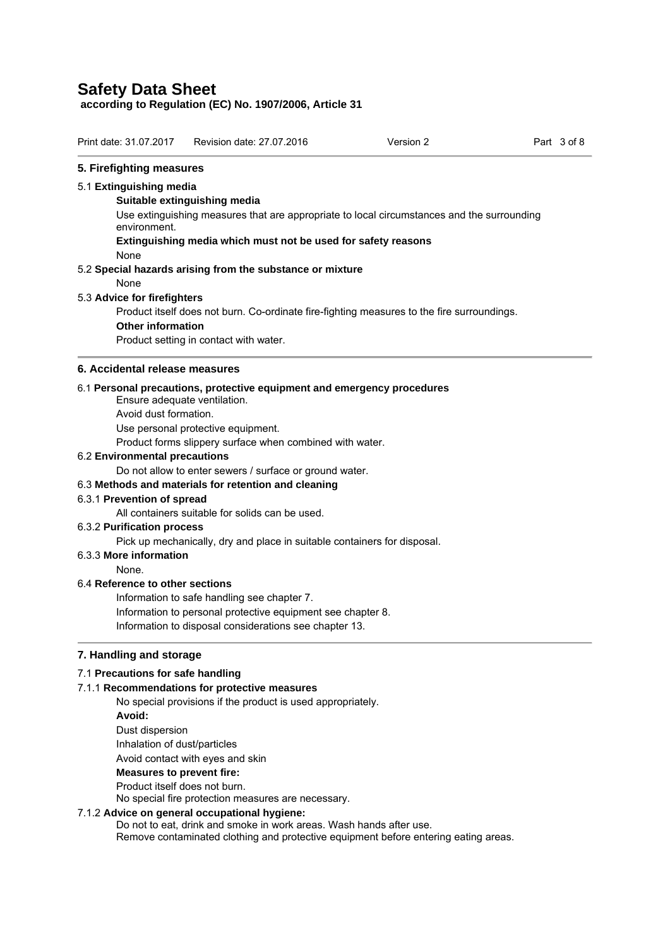**according to Regulation (EC) No. 1907/2006, Article 31** 

| Print date: 31.07.2017<br>Revision date: 27.07.2016<br>Part 3 of 8<br>Version 2 |
|---------------------------------------------------------------------------------|
|---------------------------------------------------------------------------------|

## **5. Firefighting measures**

#### 5.1 **Extinguishing media**

#### **Suitable extinguishing media**

Use extinguishing measures that are appropriate to local circumstances and the surrounding environment.

**Extinguishing media which must not be used for safety reasons** 

None

5.2 **Special hazards arising from the substance or mixture** 

## None

## 5.3 **Advice for firefighters**

Product itself does not burn. Co-ordinate fire-fighting measures to the fire surroundings.

## **Other information**

Product setting in contact with water.

#### **6. Accidental release measures**

## 6.1 **Personal precautions, protective equipment and emergency procedures**

Ensure adequate ventilation. Avoid dust formation.

Use personal protective equipment.

Product forms slippery surface when combined with water.

#### 6.2 **Environmental precautions**

Do not allow to enter sewers / surface or ground water.

## 6.3 **Methods and materials for retention and cleaning**

## 6.3.1 **Prevention of spread**

All containers suitable for solids can be used.

## 6.3.2 **Purification process**

Pick up mechanically, dry and place in suitable containers for disposal.

#### 6.3.3 **More information**

None.

## 6.4 **Reference to other sections**

Information to safe handling see chapter 7.

Information to personal protective equipment see chapter 8.

Information to disposal considerations see chapter 13.

## **7. Handling and storage**

## 7.1 **Precautions for safe handling**

## 7.1.1 **Recommendations for protective measures**

No special provisions if the product is used appropriately. **Avoid:**  Dust dispersion

Inhalation of dust/particles

Avoid contact with eyes and skin

## **Measures to prevent fire:**

## Product itself does not burn.

No special fire protection measures are necessary.

## 7.1.2 **Advice on general occupational hygiene:**

Do not to eat, drink and smoke in work areas. Wash hands after use. Remove contaminated clothing and protective equipment before entering eating areas.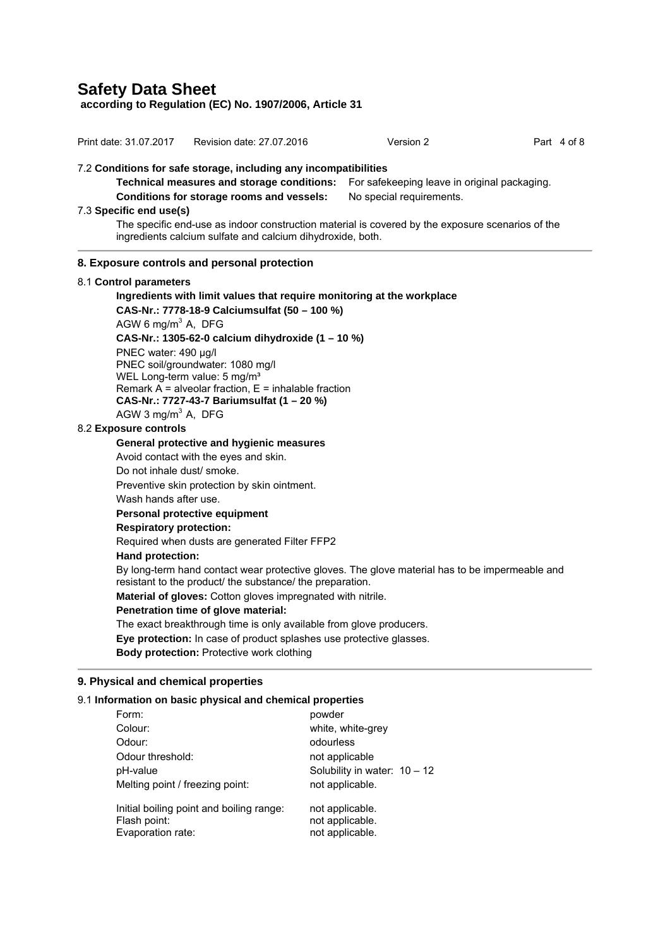**according to Regulation (EC) No. 1907/2006, Article 31** 

| Print date: 31.07.2017                                                                                                                                         |                                                                     | Revision date: 27.07.2016                                        | Version 2                                                              | Part 4 of 8 |
|----------------------------------------------------------------------------------------------------------------------------------------------------------------|---------------------------------------------------------------------|------------------------------------------------------------------|------------------------------------------------------------------------|-------------|
|                                                                                                                                                                |                                                                     | 7.2 Conditions for safe storage, including any incompatibilities |                                                                        |             |
|                                                                                                                                                                |                                                                     | Technical measures and storage conditions:                       | For safekeeping leave in original packaging.                           |             |
|                                                                                                                                                                | Conditions for storage rooms and vessels:                           |                                                                  | No special requirements.                                               |             |
| 7.3 Specific end use(s)                                                                                                                                        |                                                                     |                                                                  |                                                                        |             |
| The specific end-use as indoor construction material is covered by the exposure scenarios of the<br>ingredients calcium sulfate and calcium dihydroxide, both. |                                                                     |                                                                  |                                                                        |             |
|                                                                                                                                                                | 8. Exposure controls and personal protection                        |                                                                  |                                                                        |             |
| 8.1 Control parameters                                                                                                                                         |                                                                     |                                                                  |                                                                        |             |
|                                                                                                                                                                |                                                                     |                                                                  | Ingredients with limit values that require monitoring at the workplace |             |
|                                                                                                                                                                |                                                                     | CAS-Nr.: 7778-18-9 Calciumsulfat (50 - 100 %)                    |                                                                        |             |
|                                                                                                                                                                | AGW 6 mg/m <sup>3</sup> A, DFG                                      |                                                                  |                                                                        |             |
|                                                                                                                                                                |                                                                     | CAS-Nr.: 1305-62-0 calcium dihydroxide $(1 - 10 \%)$             |                                                                        |             |
|                                                                                                                                                                | PNEC water: 490 µg/l<br>PNEC soil/groundwater: 1080 mg/l            |                                                                  |                                                                        |             |
|                                                                                                                                                                | WEL Long-term value: 5 mg/m <sup>3</sup>                            |                                                                  |                                                                        |             |
|                                                                                                                                                                |                                                                     | Remark $A =$ alveolar fraction, $E =$ inhalable fraction         |                                                                        |             |
|                                                                                                                                                                | CAS-Nr.: 7727-43-7 Bariumsulfat (1 - 20 %)                          |                                                                  |                                                                        |             |
|                                                                                                                                                                | AGW 3 mg/m <sup>3</sup> A, DFG                                      |                                                                  |                                                                        |             |
| 8.2 Exposure controls                                                                                                                                          |                                                                     |                                                                  |                                                                        |             |
| General protective and hygienic measures                                                                                                                       |                                                                     |                                                                  |                                                                        |             |
|                                                                                                                                                                | Avoid contact with the eyes and skin.<br>Do not inhale dust/ smoke. |                                                                  |                                                                        |             |
|                                                                                                                                                                | Preventive skin protection by skin ointment.                        |                                                                  |                                                                        |             |
|                                                                                                                                                                | Wash hands after use.                                               |                                                                  |                                                                        |             |
| Personal protective equipment                                                                                                                                  |                                                                     |                                                                  |                                                                        |             |
| <b>Respiratory protection:</b>                                                                                                                                 |                                                                     |                                                                  |                                                                        |             |
| Required when dusts are generated Filter FFP2                                                                                                                  |                                                                     |                                                                  |                                                                        |             |
|                                                                                                                                                                | <b>Hand protection:</b>                                             |                                                                  |                                                                        |             |
| By long-term hand contact wear protective gloves. The glove material has to be impermeable and<br>resistant to the product/ the substance/ the preparation.    |                                                                     |                                                                  |                                                                        |             |
| Material of gloves: Cotton gloves impregnated with nitrile.                                                                                                    |                                                                     |                                                                  |                                                                        |             |
| Penetration time of glove material:                                                                                                                            |                                                                     |                                                                  |                                                                        |             |
| The exact breakthrough time is only available from glove producers.                                                                                            |                                                                     |                                                                  |                                                                        |             |
| Eye protection: In case of product splashes use protective glasses.<br><b>Body protection: Protective work clothing</b>                                        |                                                                     |                                                                  |                                                                        |             |
|                                                                                                                                                                |                                                                     |                                                                  |                                                                        |             |
|                                                                                                                                                                | 9. Physical and chemical properties                                 |                                                                  |                                                                        |             |
|                                                                                                                                                                |                                                                     | 9.1 Information on basic physical and chemical properties        |                                                                        |             |
| Form:                                                                                                                                                          |                                                                     | powder                                                           |                                                                        |             |
| Colour:                                                                                                                                                        |                                                                     |                                                                  | white, white-grey                                                      |             |
| Odour:                                                                                                                                                         |                                                                     | odourless                                                        |                                                                        |             |
| Odour threshold:                                                                                                                                               |                                                                     |                                                                  | not applicable                                                         |             |

Initial boiling point and boiling range: not applicable. Flash point: not applicable. Evaporation rate: not applicable.

Melting point / freezing point: not applicable.

pH-value **Solubility** in water:  $10 - 12$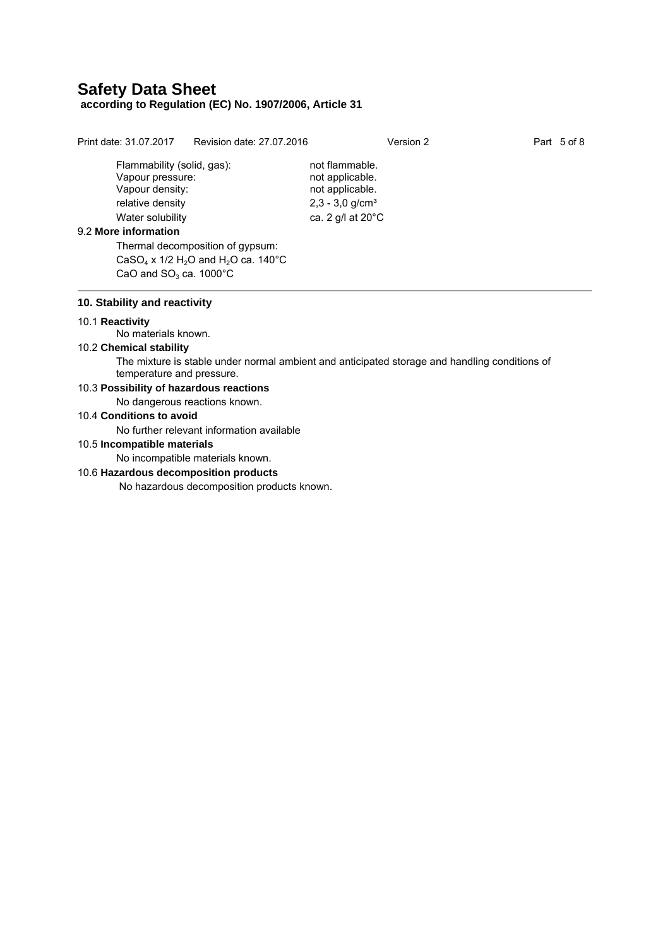## **according to Regulation (EC) No. 1907/2006, Article 31**

Flammability (solid, gas): not flammable. Vapour pressure: not applicable. Vapour density: not applicable. relative density  $2,3 - 3,0$  g/cm<sup>3</sup> Water solubility exactle ca. 2 g/l at 20°C 9.2 **More information** Thermal decomposition of gypsum: CaSO<sub>4</sub> x 1/2 H<sub>2</sub>O and H<sub>2</sub>O ca. 140°C CaO and  $SO<sub>3</sub>$  ca. 1000 $^{\circ}$ C **10. Stability and reactivity** 

## 10.1 **Reactivity**

No materials known.

#### 10.2 **Chemical stability**

The mixture is stable under normal ambient and anticipated storage and handling conditions of temperature and pressure.

## 10.3 **Possibility of hazardous reactions**

No dangerous reactions known.

## 10.4 **Conditions to avoid**

No further relevant information available

## 10.5 **Incompatible materials**

No incompatible materials known.

## 10.6 **Hazardous decomposition products**

No hazardous decomposition products known.

Print date: 31.07.2017 Revision date: 27.07.2016 Version 2 Part 5 of 8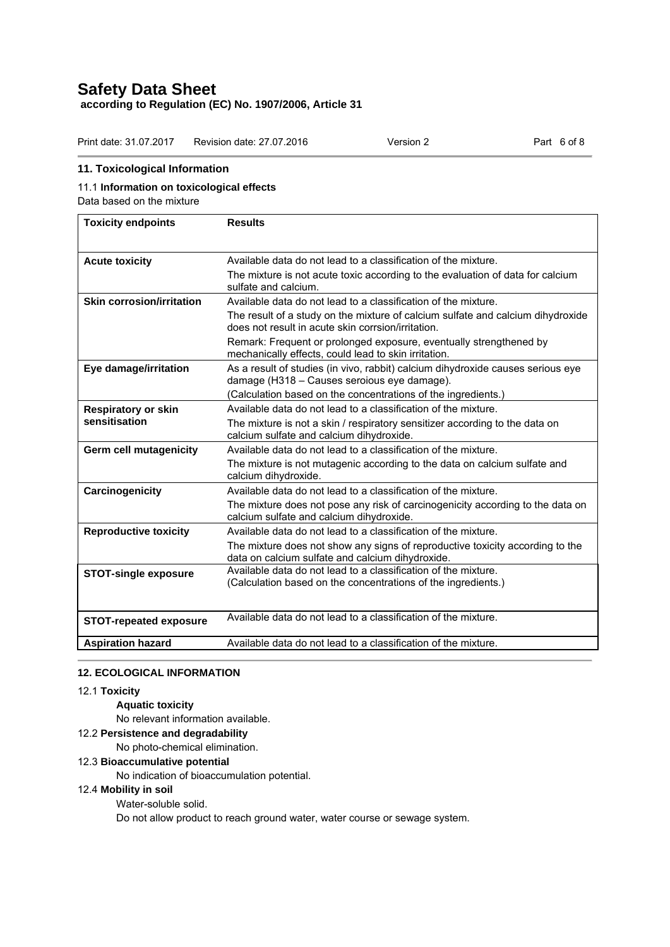## **Safety Data Sheet according to Regulation (EC) No. 1907/2006, Article 31**

Print date: 31.07.2017 Revision date: 27.07.2016 Version 2 Part 6 of 8

## **11. Toxicological Information**

## 11.1 **Information on toxicological effects**

Data based on the mixture

| <b>Toxicity endpoints</b>        | <b>Results</b>                                                                                                                        |
|----------------------------------|---------------------------------------------------------------------------------------------------------------------------------------|
|                                  |                                                                                                                                       |
| <b>Acute toxicity</b>            | Available data do not lead to a classification of the mixture.                                                                        |
|                                  | The mixture is not acute toxic according to the evaluation of data for calcium<br>sulfate and calcium.                                |
| <b>Skin corrosion/irritation</b> | Available data do not lead to a classification of the mixture.                                                                        |
|                                  | The result of a study on the mixture of calcium sulfate and calcium dihydroxide<br>does not result in acute skin corrsion/irritation. |
|                                  | Remark: Frequent or prolonged exposure, eventually strengthened by<br>mechanically effects, could lead to skin irritation.            |
| Eye damage/irritation            | As a result of studies (in vivo, rabbit) calcium dihydroxide causes serious eye<br>damage (H318 – Causes seroious eye damage).        |
|                                  | (Calculation based on the concentrations of the ingredients.)                                                                         |
| <b>Respiratory or skin</b>       | Available data do not lead to a classification of the mixture.                                                                        |
| sensitisation                    | The mixture is not a skin / respiratory sensitizer according to the data on<br>calcium sulfate and calcium dihydroxide.               |
| <b>Germ cell mutagenicity</b>    | Available data do not lead to a classification of the mixture.                                                                        |
|                                  | The mixture is not mutagenic according to the data on calcium sulfate and<br>calcium dihydroxide.                                     |
| Carcinogenicity                  | Available data do not lead to a classification of the mixture.                                                                        |
|                                  | The mixture does not pose any risk of carcinogenicity according to the data on<br>calcium sulfate and calcium dihydroxide.            |
| <b>Reproductive toxicity</b>     | Available data do not lead to a classification of the mixture.                                                                        |
|                                  | The mixture does not show any signs of reproductive toxicity according to the<br>data on calcium sulfate and calcium dihydroxide.     |
| <b>STOT-single exposure</b>      | Available data do not lead to a classification of the mixture.<br>(Calculation based on the concentrations of the ingredients.)       |
| <b>STOT-repeated exposure</b>    | Available data do not lead to a classification of the mixture.                                                                        |
| <b>Aspiration hazard</b>         | Available data do not lead to a classification of the mixture.                                                                        |

## **12. ECOLOGICAL INFORMATION**

## 12.1 **Toxicity**

**Aquatic toxicity** 

No relevant information available.

## 12.2 **Persistence and degradability**

No photo-chemical elimination.

## 12.3 **Bioaccumulative potential**

No indication of bioaccumulation potential.

## 12.4 **Mobility in soil**

Water-soluble solid.

Do not allow product to reach ground water, water course or sewage system.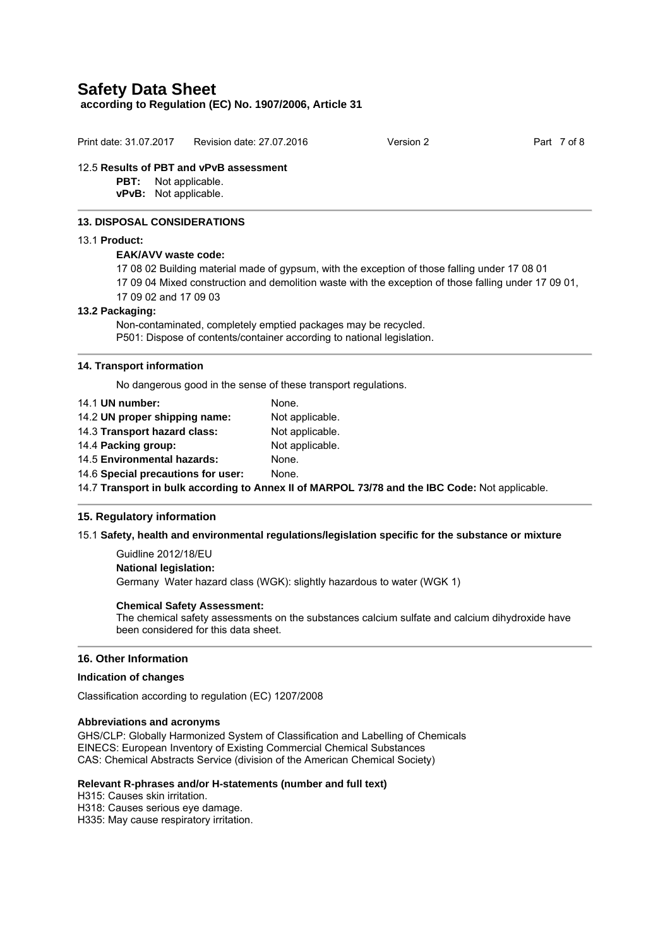**according to Regulation (EC) No. 1907/2006, Article 31** 

| Version 2 | Part 7 of 8 |
|-----------|-------------|
|           |             |
|           |             |

#### **13. DISPOSAL CONSIDERATIONS**

## 13.1 **Product:**

## **EAK/AVV waste code:**

- 17 08 02 Building material made of gypsum, with the exception of those falling under 17 08 01
- 17 09 04 Mixed construction and demolition waste with the exception of those falling under 17 09 01,
- 17 09 02 and 17 09 03

#### **13.2 Packaging:**

Non-contaminated, completely emptied packages may be recycled. P501: Dispose of contents/container according to national legislation.

#### **14. Transport information**

No dangerous good in the sense of these transport regulations.

| 14.1 UN number:                                                                                | None.           |  |
|------------------------------------------------------------------------------------------------|-----------------|--|
| 14.2 UN proper shipping name:                                                                  | Not applicable. |  |
| 14.3 Transport hazard class:                                                                   | Not applicable. |  |
| 14.4 Packing group:                                                                            | Not applicable. |  |
| 14.5 Environmental hazards:                                                                    | None.           |  |
| 14.6 Special precautions for user:                                                             | None.           |  |
| 14.7 Transport in bulk according to Annex II of MARPOL 73/78 and the IBC Code: Not applicable. |                 |  |

## **15. Regulatory information**

## 15.1 **Safety, health and environmental regulations/legislation specific for the substance or mixture**

 Guidline 2012/18/EU **National legislation:**  Germany Water hazard class (WGK): slightly hazardous to water (WGK 1)

#### **Chemical Safety Assessment:**

The chemical safety assessments on the substances calcium sulfate and calcium dihydroxide have been considered for this data sheet.

## **16. Other Information**

## **Indication of changes**

Classification according to regulation (EC) 1207/2008

#### **Abbreviations and acronyms**

GHS/CLP: Globally Harmonized System of Classification and Labelling of Chemicals EINECS: European Inventory of Existing Commercial Chemical Substances CAS: Chemical Abstracts Service (division of the American Chemical Society)

## **Relevant R-phrases and/or H-statements (number and full text)**

H315: Causes skin irritation.

H318: Causes serious eye damage.

H335: May cause respiratory irritation.